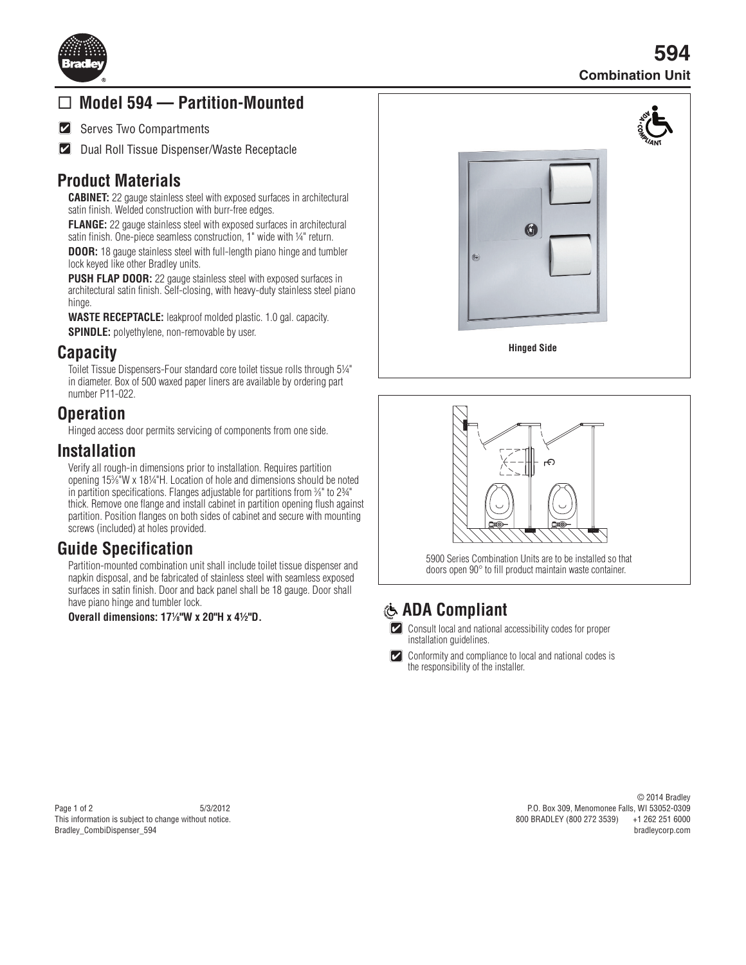

# **Model 594 — Partition-Mounted**

 $|\boldsymbol{\mathcal{C}}|$ Serves Two Compartments

**Z** Dual Roll Tissue Dispenser/Waste Receptacle

### **Product Materials**

**CABINET:** 22 gauge stainless steel with exposed surfaces in architectural satin finish. Welded construction with burr-free edges.

**FLANGE:** 22 gauge stainless steel with exposed surfaces in architectural satin finish. One-piece seamless construction, 1" wide with 1/4" return.

**DOOR:** 18 gauge stainless steel with full-length piano hinge and tumbler lock keyed like other Bradley units.

**PUSH FLAP DOOR:** 22 gauge stainless steel with exposed surfaces in architectural satin finish. Self-closing, with heavy-duty stainless steel piano hinge.

**WASTE RECEPTACLE:** leakproof molded plastic. 1.0 gal. capacity.

**SPINDLE:** polyethylene, non-removable by user.

#### **Capacity**

Toilet Tissue Dispensers-Four standard core toilet tissue rolls through 5¼" in diameter. Box of 500 waxed paper liners are available by ordering part number P11-022.

# **Operation**

Hinged access door permits servicing of components from one side.

#### **Installation**

Verify all rough-in dimensions prior to installation. Requires partition opening 153 ⁄8"W x 18¼"H. Location of hole and dimensions should be noted in partition specifications. Flanges adjustable for partitions from %" to 234" thick. Remove one flange and install cabinet in partition opening flush against partition. Position flanges on both sides of cabinet and secure with mounting screws (included) at holes provided.

### **Guide Specification**

Partition-mounted combination unit shall include toilet tissue dispenser and napkin disposal, and be fabricated of stainless steel with seamless exposed surfaces in satin finish. Door and back panel shall be 18 gauge. Door shall have piano hinge and tumbler lock.

**Overall dimensions: 171 ⁄8"W x 20"H x 4½"D.**



**Hinged Side**



5900 Series Combination Units are to be installed so that doors open 90° to fill product maintain waste container.

# **ADA Compliant**

 $\left[ \boldsymbol{\mathsf{v}}\right]$ Consult local and national accessibility codes for proper installation quidelines.

 $\boldsymbol{|\mathcal{V}|}$ Conformity and compliance to local and national codes is the responsibility of the installer.

#### Page 1 of 2 5/3/2012 This information is subject to change without notice. Bradley\_CombiDispenser\_594

© 2014 Bradley P.O. Box 309, Menomonee Falls, WI 53052-0309 800 BRADLEY (800 272 3539) bradleycorp.com